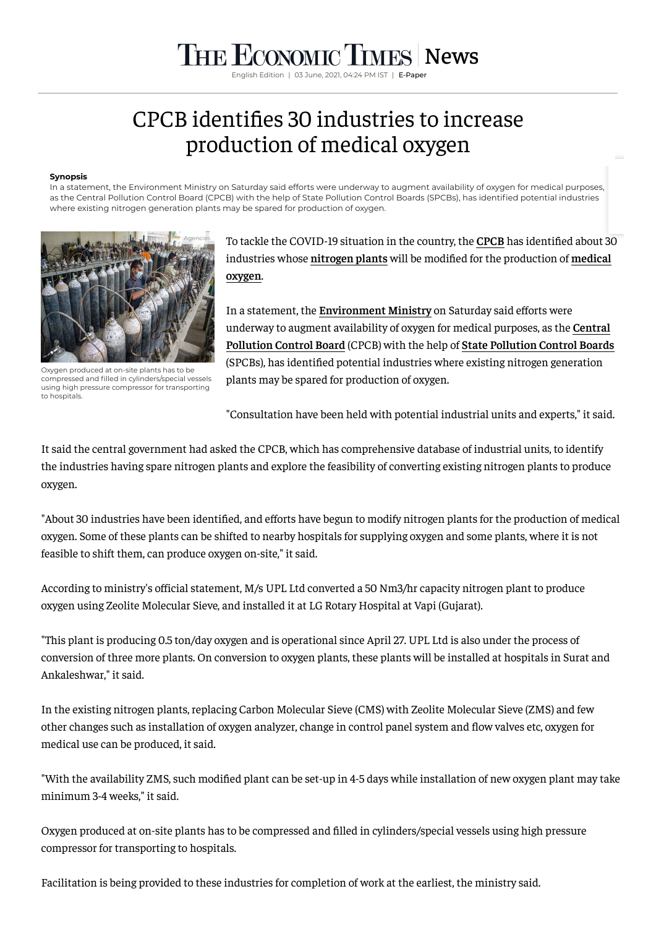# THE ECONOMIC TIMES [News](https://economictimes.indiatimes.com/news)

English Edition | 03 June, 2021, 04:24 PM IST | E-Pape

# CPCB identies 30 industries to increase production of medical oxygen

#### **Synopsis**

In a statement, the Environment Ministry on Saturday said efforts were underway to augment availability of oxygen for medical purposes, as the Central Pollution Control Board (CPCB) with the help of State Pollution Control Boards (SPCBs), has identified potential industries where existing nitrogen generation plants may be spared for production of oxygen.



Oxygen produced at on-site plants has to be compressed and filled in cylinders/special vessels using high pressure compressor for transporting to hospitals.

To tackle the COVID-19 situation in the country, the **[CPCB](https://economictimes.indiatimes.com/topic/CPCB)** has identied about 30 industries whose **[nitrogen](https://economictimes.indiatimes.com/topic/nitrogen-plants) plants** will be modied for the [production](https://economictimes.indiatimes.com/topic/medical-oxygen) of **medical oygen**.

In a statement, the **[Environment](https://economictimes.indiatimes.com/topic/Environment-Ministry) Ministry** on Saturday said efforts were underway to augment [availability](https://economictimes.indiatimes.com/topic/Central-Pollution-Control-Board) of oxygen for medical purposes, as the **Central Pollution Control Board** (CPCB) with the help of **State [Pollution](https://economictimes.indiatimes.com/topic/State-Pollution-Control-Boards) Control Boards** (SPCBs), has identified potential industries where existing nitrogen generation plants may be spared for production of oxygen.

"Consultation have been held with potential industrial units and experts," it said.

It said the central government had asked the CPCB, which has comprehensive database of industrial units, to identify the industries having spare nitrogen plants and explore the feasibility of converting existing nitrogen plants to produce oxygen.

"About 30 industries have been identified, and efforts have begun to modify nitrogen plants for the production of medical oxygen. Some of these plants can be shifted to nearby hospitals for supplying oxygen and some plants, where it is not feasible to shift them, can produce oxygen on-site," it said.

According to ministry's official statement, M/s UPL Ltd converted a 50 Nm3/hr capacity nitrogen plant to produce oxygen using Zeolite Molecular Sieve, and installed it at LG Rotary Hospital at Vapi (Gujarat).

"This plant is producing 0.5 ton/day oxygen and is operational since April 27. UPL Ltd is also under the process of conversion of three more plants. On conversion to oxygen plants, these plants will be installed at hospitals in Surat and Ankaleshwar," it said.

In the existing nitrogen plants, replacing Carbon Molecular Sieve (CMS) with Zeolite Molecular Sieve (ZMS) and few other changes such as installation of oxygen analyzer, change in control panel system and flow valves etc, oxygen for medical use can be produced, it said.

"With the availability ZMS, such modified plant can be set-up in 4-5 days while installation of new oxygen plant may take minimum 3-4 weeks," it said.

Oxygen produced at on-site plants has to be compressed and filled in cylinders/special vessels using high pressure compressor for transporting to hospitals.

Facilitation is being provided to these industries for completion of work at the earliest, the ministry said.